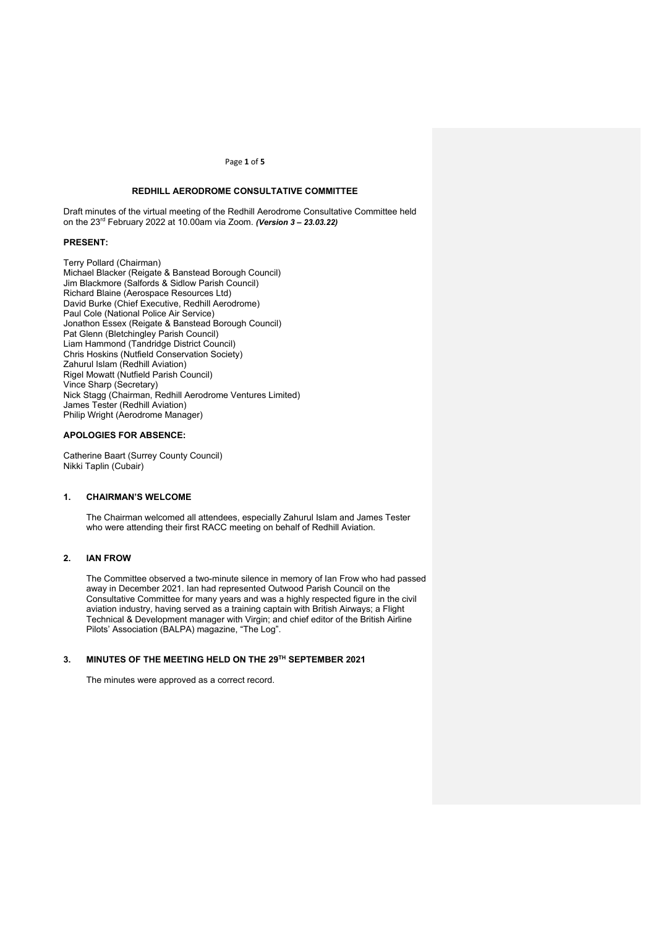Page **1** of **5**

## **REDHILL AERODROME CONSULTATIVE COMMITTEE**

Draft minutes of the virtual meeting of the Redhill Aerodrome Consultative Committee held on the 23rd February 2022 at 10.00am via Zoom. *(Version 3 – 23.03.22)*

### **PRESENT:**

Terry Pollard (Chairman) Michael Blacker (Reigate & Banstead Borough Council) Jim Blackmore (Salfords & Sidlow Parish Council) Richard Blaine (Aerospace Resources Ltd) David Burke (Chief Executive, Redhill Aerodrome) Paul Cole (National Police Air Service) Jonathon Essex (Reigate & Banstead Borough Council) Pat Glenn (Bletchingley Parish Council) Liam Hammond (Tandridge District Council) Chris Hoskins (Nutfield Conservation Society) Zahurul Islam (Redhill Aviation) Rigel Mowatt (Nutfield Parish Council) Vince Sharp (Secretary) Nick Stagg (Chairman, Redhill Aerodrome Ventures Limited) James Tester (Redhill Aviation) Philip Wright (Aerodrome Manager)

## **APOLOGIES FOR ABSENCE:**

Catherine Baart (Surrey County Council) Nikki Taplin (Cubair)

#### **1. CHAIRMAN'S WELCOME**

The Chairman welcomed all attendees, especially Zahurul Islam and James Tester who were attending their first RACC meeting on behalf of Redhill Aviation.

## **2. IAN FROW**

The Committee observed a two-minute silence in memory of Ian Frow who had passed away in December 2021. Ian had represented Outwood Parish Council on the Consultative Committee for many years and was a highly respected figure in the civil aviation industry, having served as a training captain with British Airways; a Flight Technical & Development manager with Virgin; and chief editor of the British Airline Pilots' Association (BALPA) magazine, "The Log".

# **3. MINUTES OF THE MEETING HELD ON THE 29TH SEPTEMBER 2021**

The minutes were approved as a correct record.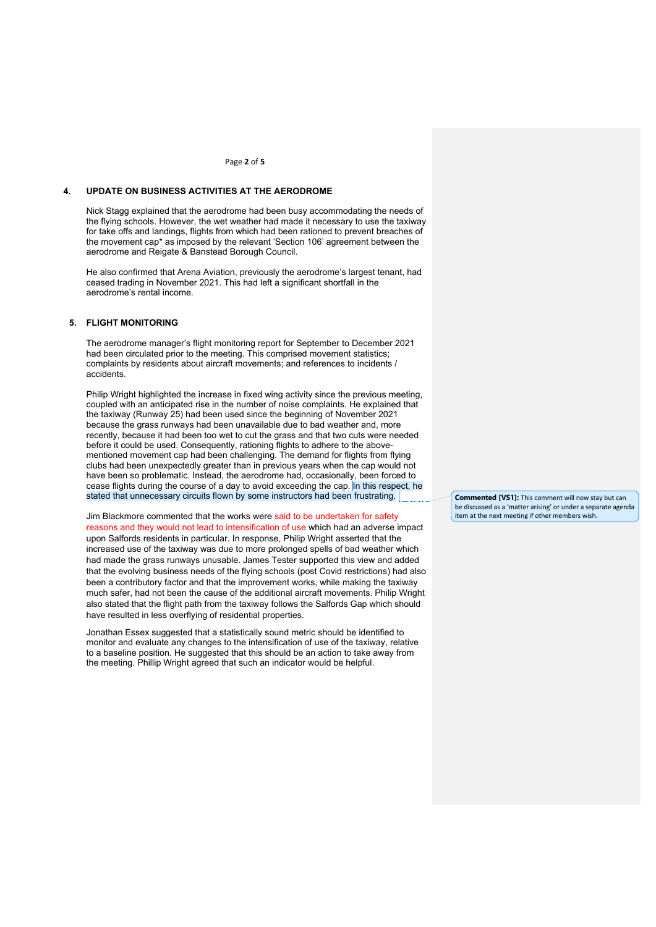#### Page **2** of **5**

#### **4. UPDATE ON BUSINESS ACTIVITIES AT THE AERODROME**

Nick Stagg explained that the aerodrome had been busy accommodating the needs of the flying schools. However, the wet weather had made it necessary to use the taxiway for take offs and landings, flights from which had been rationed to prevent breaches of the movement cap\* as imposed by the relevant 'Section 106' agreement between the aerodrome and Reigate & Banstead Borough Council.

He also confirmed that Arena Aviation, previously the aerodrome's largest tenant, had ceased trading in November 2021. This had left a significant shortfall in the aerodrome's rental income.

# **5. FLIGHT MONITORING**

The aerodrome manager's flight monitoring report for September to December 2021 had been circulated prior to the meeting. This comprised movement statistics; complaints by residents about aircraft movements; and references to incidents / accidents.

Philip Wright highlighted the increase in fixed wing activity since the previous meeting, coupled with an anticipated rise in the number of noise complaints. He explained that the taxiway (Runway 25) had been used since the beginning of November 2021 because the grass runways had been unavailable due to bad weather and, more recently, because it had been too wet to cut the grass and that two cuts were needed before it could be used. Consequently, rationing flights to adhere to the abovementioned movement cap had been challenging. The demand for flights from flying clubs had been unexpectedly greater than in previous years when the cap would not have been so problematic. Instead, the aerodrome had, occasionally, been forced to cease flights during the course of a day to avoid exceeding the cap. In this respect, he stated that unnecessary circuits flown by some instructors had been frustrating.

Jim Blackmore commented that the works were said to be undertaken for safety reasons and they would not lead to intensification of use which had an adverse impact upon Salfords residents in particular. In response, Philip Wright asserted that the increased use of the taxiway was due to more prolonged spells of bad weather which had made the grass runways unusable. James Tester supported this view and added that the evolving business needs of the flying schools (post Covid restrictions) had also been a contributory factor and that the improvement works, while making the taxiway much safer, had not been the cause of the additional aircraft movements. Philip Wright also stated that the flight path from the taxiway follows the Salfords Gap which should have resulted in less overflying of residential properties.

Jonathan Essex suggested that a statistically sound metric should be identified to monitor and evaluate any changes to the intensification of use of the taxiway, relative to a baseline position. He suggested that this should be an action to take away from the meeting. Phillip Wright agreed that such an indicator would be helpful.

**Commented [VS1]:** This comment will now stay but can be discussed as a 'matter arising' or under a separate agenda item at the next meeting if other members wish.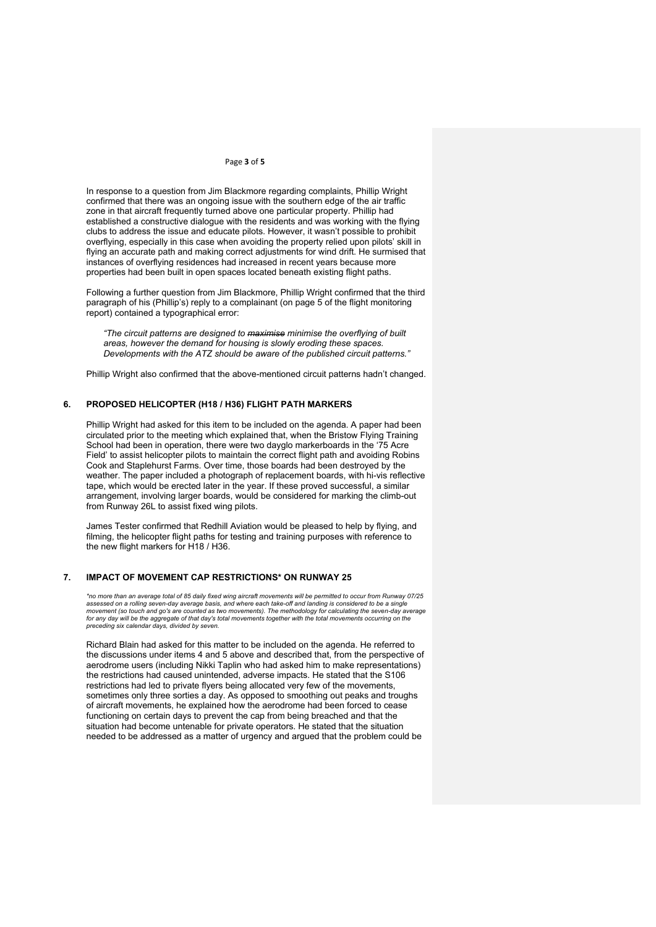## Page **3** of **5**

In response to a question from Jim Blackmore regarding complaints, Phillip Wright confirmed that there was an ongoing issue with the southern edge of the air traffic zone in that aircraft frequently turned above one particular property. Phillip had established a constructive dialogue with the residents and was working with the flying clubs to address the issue and educate pilots. However, it wasn't possible to prohibit overflying, especially in this case when avoiding the property relied upon pilots' skill in flying an accurate path and making correct adjustments for wind drift. He surmised that instances of overflying residences had increased in recent years because more properties had been built in open spaces located beneath existing flight paths.

Following a further question from Jim Blackmore, Phillip Wright confirmed that the third paragraph of his (Phillip's) reply to a complainant (on page 5 of the flight monitoring report) contained a typographical error:

*"The circuit patterns are designed to maximise minimise the overflying of built areas, however the demand for housing is slowly eroding these spaces. Developments with the ATZ should be aware of the published circuit patterns."*

Phillip Wright also confirmed that the above-mentioned circuit patterns hadn't changed.

## **6. PROPOSED HELICOPTER (H18 / H36) FLIGHT PATH MARKERS**

Phillip Wright had asked for this item to be included on the agenda. A paper had been circulated prior to the meeting which explained that, when the Bristow Flying Training School had been in operation, there were two dayglo markerboards in the '75 Acre Field' to assist helicopter pilots to maintain the correct flight path and avoiding Robins Cook and Staplehurst Farms. Over time, those boards had been destroyed by the weather. The paper included a photograph of replacement boards, with hi-vis reflective tape, which would be erected later in the year. If these proved successful, a similar arrangement, involving larger boards, would be considered for marking the climb-out from Runway 26L to assist fixed wing pilots.

James Tester confirmed that Redhill Aviation would be pleased to help by flying, and filming, the helicopter flight paths for testing and training purposes with reference to the new flight markers for H18 / H36.

# **7. IMPACT OF MOVEMENT CAP RESTRICTIONS\* ON RUNWAY 25**

*\*no more than an average total of 85 daily fixed wing aircraft movements will be permitted to occur from Runway 07/25*  assessed on a rolling seven-day average basis, and where each take-off and landing is considered to be a single<br>movement (so touch and go's are counted as two movements). The methodology for calculating the seven-day avera *preceding six calendar days, divided by seven.*

Richard Blain had asked for this matter to be included on the agenda. He referred to the discussions under items 4 and 5 above and described that, from the perspective of aerodrome users (including Nikki Taplin who had asked him to make representations) the restrictions had caused unintended, adverse impacts. He stated that the S106 restrictions had led to private flyers being allocated very few of the movements, sometimes only three sorties a day. As opposed to smoothing out peaks and troughs of aircraft movements, he explained how the aerodrome had been forced to cease functioning on certain days to prevent the cap from being breached and that the situation had become untenable for private operators. He stated that the situation needed to be addressed as a matter of urgency and argued that the problem could be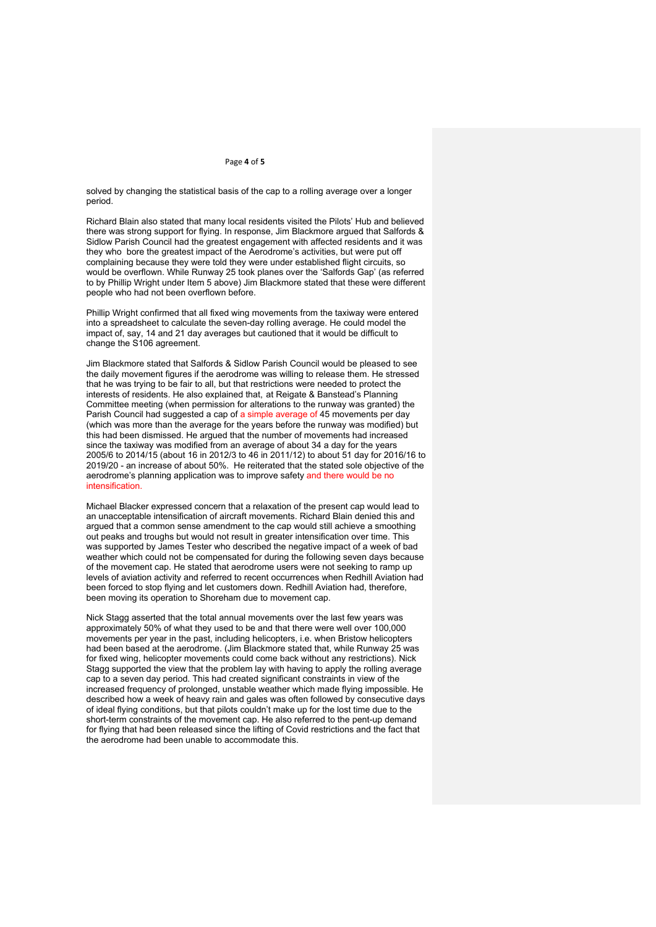#### Page **4** of **5**

solved by changing the statistical basis of the cap to a rolling average over a longer period.

Richard Blain also stated that many local residents visited the Pilots' Hub and believed there was strong support for flying. In response, Jim Blackmore argued that Salfords & Sidlow Parish Council had the greatest engagement with affected residents and it was they who bore the greatest impact of the Aerodrome's activities, but were put off complaining because they were told they were under established flight circuits, so would be overflown. While Runway 25 took planes over the 'Salfords Gap' (as referred to by Phillip Wright under Item 5 above) Jim Blackmore stated that these were different people who had not been overflown before.

Phillip Wright confirmed that all fixed wing movements from the taxiway were entered into a spreadsheet to calculate the seven-day rolling average. He could model the impact of, say, 14 and 21 day averages but cautioned that it would be difficult to change the S106 agreement.

Jim Blackmore stated that Salfords & Sidlow Parish Council would be pleased to see the daily movement figures if the aerodrome was willing to release them. He stressed that he was trying to be fair to all, but that restrictions were needed to protect the interests of residents. He also explained that, at Reigate & Banstead's Planning Committee meeting (when permission for alterations to the runway was granted) the Parish Council had suggested a cap of a simple average of 45 movements per day (which was more than the average for the years before the runway was modified) but this had been dismissed. He argued that the number of movements had increased since the taxiway was modified from an average of about 34 a day for the years 2005/6 to 2014/15 (about 16 in 2012/3 to 46 in 2011/12) to about 51 day for 2016/16 to 2019/20 - an increase of about 50%. He reiterated that the stated sole objective of the aerodrome's planning application was to improve safety and there would be no intensification.

Michael Blacker expressed concern that a relaxation of the present cap would lead to an unacceptable intensification of aircraft movements. Richard Blain denied this and argued that a common sense amendment to the cap would still achieve a smoothing out peaks and troughs but would not result in greater intensification over time. This was supported by James Tester who described the negative impact of a week of bad weather which could not be compensated for during the following seven days because of the movement cap. He stated that aerodrome users were not seeking to ramp up levels of aviation activity and referred to recent occurrences when Redhill Aviation had been forced to stop flying and let customers down. Redhill Aviation had, therefore, been moving its operation to Shoreham due to movement cap.

Nick Stagg asserted that the total annual movements over the last few years was approximately 50% of what they used to be and that there were well over 100,000 movements per year in the past, including helicopters, i.e. when Bristow helicopters had been based at the aerodrome. (Jim Blackmore stated that, while Runway 25 was for fixed wing, helicopter movements could come back without any restrictions). Nick Stagg supported the view that the problem lay with having to apply the rolling average cap to a seven day period. This had created significant constraints in view of the increased frequency of prolonged, unstable weather which made flying impossible. He described how a week of heavy rain and gales was often followed by consecutive days of ideal flying conditions, but that pilots couldn't make up for the lost time due to the short-term constraints of the movement cap. He also referred to the pent-up demand for flying that had been released since the lifting of Covid restrictions and the fact that the aerodrome had been unable to accommodate this.